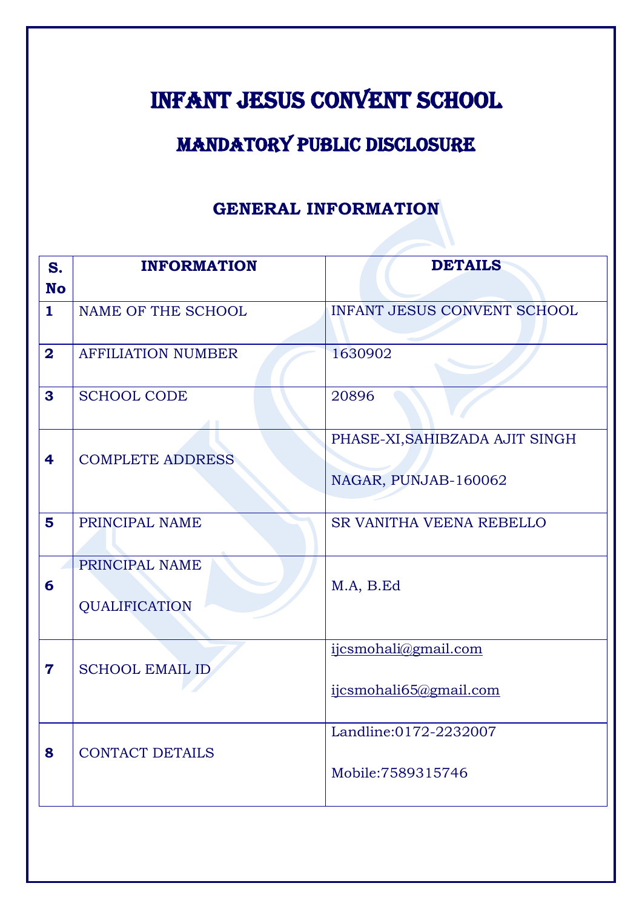# INFANT JESUS CONVENT SCHOOL

## MANDATORY PUBLIC DISCLOSURE

#### **GENERAL INFORMATION**

| S.                      | <b>INFORMATION</b>              | <b>DETAILS</b>                 |
|-------------------------|---------------------------------|--------------------------------|
| <b>No</b>               |                                 |                                |
| $\mathbf{1}$            | NAME OF THE SCHOOL              | INFANT JESUS CONVENT SCHOOL    |
| $\overline{\mathbf{2}}$ | <b>AFFILIATION NUMBER</b>       | 1630902                        |
| 3                       | <b>SCHOOL CODE</b>              | 20896                          |
|                         |                                 | PHASE-XI, SAHIBZADA AJIT SINGH |
| 4                       | <b>COMPLETE ADDRESS</b>         |                                |
|                         |                                 | NAGAR, PUNJAB-160062           |
| 5                       | PRINCIPAL NAME                  | SR VANITHA VEENA REBELLO       |
| 6                       | PRINCIPAL NAME<br>QUALIFICATION | M.A, B.Ed                      |
|                         |                                 | ijcsmohali@gmail.com           |
| $\mathbf 7$             | <b>SCHOOL EMAIL ID</b>          | ijcsmohali65@gmail.com         |
|                         |                                 | Landline:0172-2232007          |
| 8                       | <b>CONTACT DETAILS</b>          | Mobile: 7589315746             |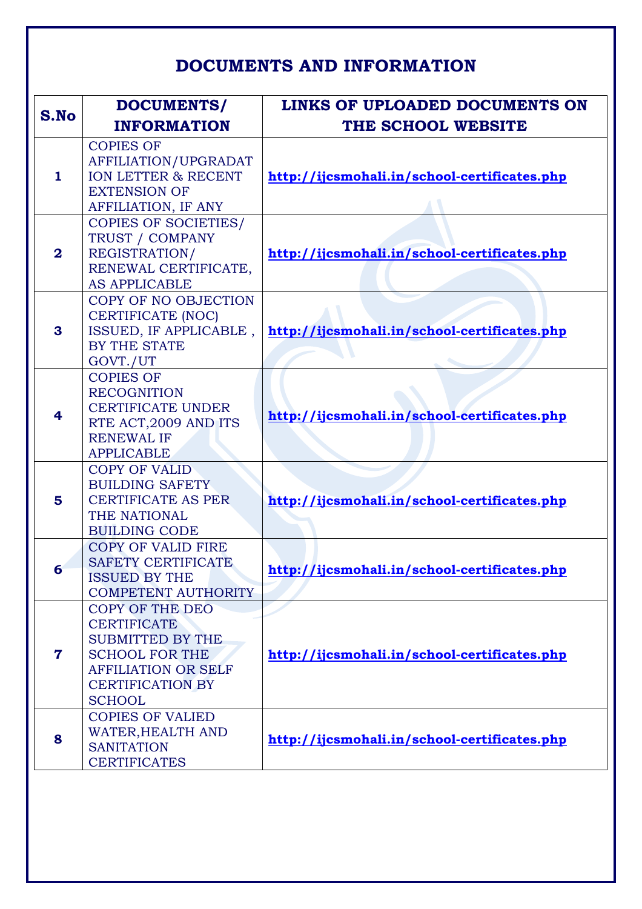### **DOCUMENTS AND INFORMATION**

| S.No                    | DOCUMENTS/<br><b>INFORMATION</b>                                                                                                                                    | LINKS OF UPLOADED DOCUMENTS ON<br>THE SCHOOL WEBSITE |
|-------------------------|---------------------------------------------------------------------------------------------------------------------------------------------------------------------|------------------------------------------------------|
| $\mathbf{1}$            | <b>COPIES OF</b><br>AFFILIATION/UPGRADAT<br>ION LETTER & RECENT<br><b>EXTENSION OF</b><br><b>AFFILIATION, IF ANY</b>                                                | http://ijcsmohali.in/school-certificates.php         |
| $\overline{\mathbf{2}}$ | <b>COPIES OF SOCIETIES/</b><br>TRUST / COMPANY<br>REGISTRATION/<br>RENEWAL CERTIFICATE,<br><b>AS APPLICABLE</b>                                                     | http://ijcsmohali.in/school-certificates.php         |
| 3                       | COPY OF NO OBJECTION<br><b>CERTIFICATE (NOC)</b><br>ISSUED, IF APPLICABLE,<br>BY THE STATE<br>GOVT./UT                                                              | http://ijcsmohali.in/school-certificates.php         |
| 4                       | <b>COPIES OF</b><br><b>RECOGNITION</b><br><b>CERTIFICATE UNDER</b><br>RTE ACT, 2009 AND ITS<br><b>RENEWAL IF</b><br><b>APPLICABLE</b>                               | http://ijcsmohali.in/school-certificates.php         |
| 5                       | <b>COPY OF VALID</b><br><b>BUILDING SAFETY</b><br><b>CERTIFICATE AS PER</b><br>THE NATIONAL<br><b>BUILDING CODE</b>                                                 | http://ijcsmohali.in/school-certificates.php         |
| 6                       | <b>COPY OF VALID FIRE</b><br><b>SAFETY CERTIFICATE</b><br><b>ISSUED BY THE</b><br><b>COMPETENT AUTHORITY</b>                                                        | http://ijcsmohali.in/school-certificates.php         |
| 7                       | COPY OF THE DEO<br><b>CERTIFICATE</b><br><b>SUBMITTED BY THE</b><br><b>SCHOOL FOR THE</b><br><b>AFFILIATION OR SELF</b><br><b>CERTIFICATION BY</b><br><b>SCHOOL</b> | http://ijcsmohali.in/school-certificates.php         |
| 8                       | <b>COPIES OF VALIED</b><br><b>WATER, HEALTH AND</b><br><b>SANITATION</b><br><b>CERTIFICATES</b>                                                                     | http://ijcsmohali.in/school-certificates.php         |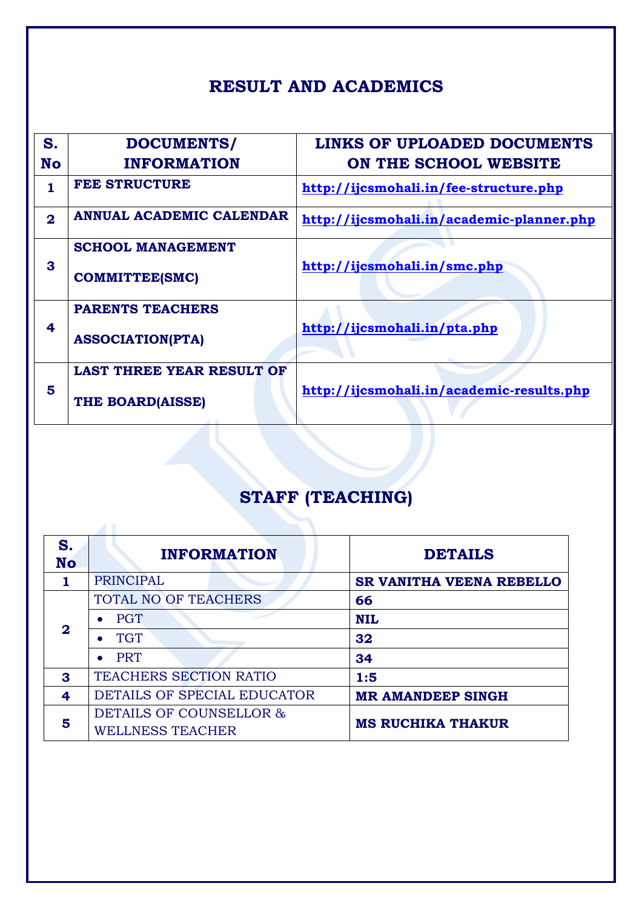### **RESULT AND ACADEMICS**

| S.<br>No       | DOCUMENTS/<br><b>INFORMATION</b>                     | <b>LINKS OF UPLOADED DOCUMENTS</b><br>ON THE SCHOOL WEBSITE |
|----------------|------------------------------------------------------|-------------------------------------------------------------|
| 1              | <b>FEE STRUCTURE</b>                                 | http://ijcsmohali.in/fee-structure.php                      |
| $\overline{2}$ | <b>ANNUAL ACADEMIC CALENDAR</b>                      | http://ijcsmohali.in/academic-planner.php                   |
| 3              | <b>SCHOOL MANAGEMENT</b><br><b>COMMITTEE(SMC)</b>    | http://ijcsmohali.in/smc.php                                |
| 4              | <b>PARENTS TEACHERS</b><br><b>ASSOCIATION(PTA)</b>   | http://ijcsmohali.in/pta.php                                |
| 5              | <b>LAST THREE YEAR RESULT OF</b><br>THE BOARD(AISSE) | http://ijcsmohali.in/academic-results.php                   |

# **STAFF (TEACHING)**

| S.<br><b>No</b> | <b>INFORMATION</b>            | <b>DETAILS</b>           |  |
|-----------------|-------------------------------|--------------------------|--|
|                 | <b>PRINCIPAL</b>              | SR VANITHA VEENA REBELLO |  |
|                 | TOTAL NO OF TEACHERS<br>66    |                          |  |
|                 | <b>PGT</b>                    | <b>NIL</b>               |  |
| $\mathbf 2$     | <b>TGT</b>                    | 32                       |  |
|                 | <b>PRT</b>                    | 34                       |  |
| 3               | <b>TEACHERS SECTION RATIO</b> | 1:5                      |  |
| 4               | DETAILS OF SPECIAL EDUCATOR   | <b>MR AMANDEEP SINGH</b> |  |
| 5               | DETAILS OF COUNSELLOR &       | <b>MS RUCHIKA THAKUR</b> |  |
|                 | <b>WELLNESS TEACHER</b>       |                          |  |

 $\blacktriangle$  1